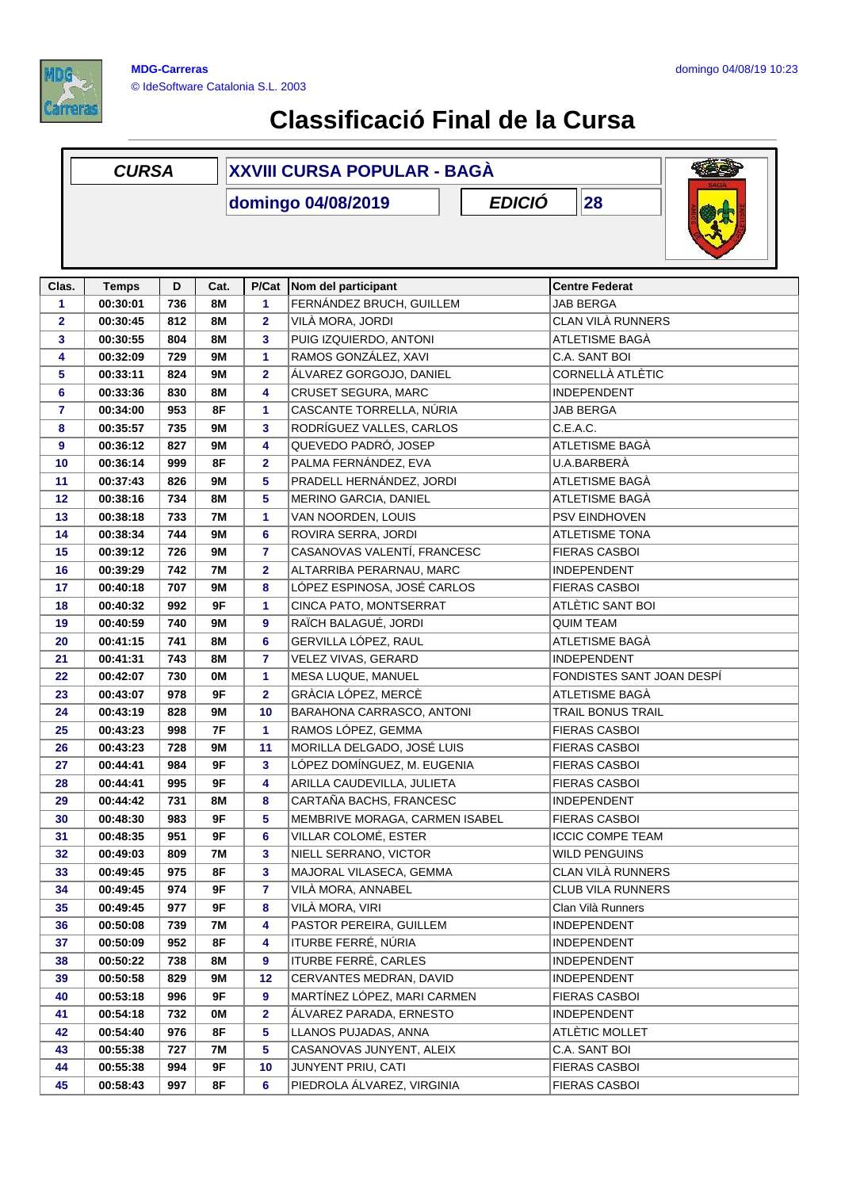

|              | <b>CURSA</b> |                     |           | <b>XXVIII CURSA POPULAR - BAGÁ</b> |                                |                           |
|--------------|--------------|---------------------|-----------|------------------------------------|--------------------------------|---------------------------|
|              |              | 28<br><b>EDICIÓ</b> |           |                                    |                                |                           |
| Clas.        | <b>Temps</b> | D                   | Cat.      | P/Cat                              | Nom del participant            | <b>Centre Federat</b>     |
| 1            | 00:30:01     | 736                 | <b>8M</b> | 1                                  | FERNÁNDEZ BRUCH, GUILLEM       | <b>JAB BERGA</b>          |
| $\mathbf{2}$ | 00:30:45     | 812                 | <b>8M</b> | $\overline{\mathbf{2}}$            | VILÀ MORA, JORDI               | CLAN VILÀ RUNNERS         |
| 3            | 00:30:55     | 804                 | <b>8M</b> | 3                                  | PUIG IZQUIERDO, ANTONI         | ATLETISME BAGÀ            |
| 4            | 00:32:09     | 729                 | <b>9M</b> | 1                                  | RAMOS GONZÁLEZ, XAVI           | C.A. SANT BOI             |
| 5            | 00:33:11     | 824                 | <b>9M</b> | 2                                  | ÁLVAREZ GORGOJO, DANIEL        | CORNELLÀ ATLÈTIC          |
| 6            | 00:33:36     | 830                 | 8M        | 4                                  | CRUSET SEGURA, MARC            | <b>INDEPENDENT</b>        |
| 7            | 00:34:00     | 953                 | 8F        | 1                                  | CASCANTE TORRELLA, NÚRIA       | <b>JAB BERGA</b>          |
| 8            | 00:35:57     | 735                 | <b>9M</b> | 3                                  | RODRÍGUEZ VALLES, CARLOS       | C.E.A.C.                  |
| 9            | 00:36:12     | 827                 | <b>9M</b> | 4                                  | QUEVEDO PADRÓ, JOSEP           | ATLETISME BAGÀ            |
| 10           | 00:36:14     | 999                 | 8F        | $\overline{\mathbf{2}}$            | PALMA FERNÁNDEZ, EVA           | U.A.BARBERÀ               |
| 11           | 00:37:43     | 826                 | 9M        | 5                                  | PRADELL HERNÁNDEZ, JORDI       | ATLETISME BAGÀ            |
| 12           | 00:38:16     | 734                 | <b>8M</b> | 5                                  | MERINO GARCIA, DANIEL          | ATLETISME BAGÀ            |
| 13           | 00:38:18     | 733                 | <b>7M</b> | 1                                  | VAN NOORDEN, LOUIS             | <b>PSV EINDHOVEN</b>      |
| 14           | 00:38:34     | 744                 | <b>9M</b> | 6                                  | ROVIRA SERRA, JORDI            | ATLETISME TONA            |
| 15           | 00:39:12     | 726                 | <b>9M</b> | 7                                  | CASANOVAS VALENTÍ, FRANCESC    | <b>FIERAS CASBOI</b>      |
| 16           | 00:39:29     | 742                 | 7M        | $\overline{\mathbf{2}}$            | ALTARRIBA PERARNAU, MARC       | INDEPENDENT               |
| 17           | 00:40:18     | 707                 | <b>9M</b> | 8                                  | LÓPEZ ESPINOSA, JOSÉ CARLOS    | <b>FIERAS CASBOI</b>      |
| 18           | 00:40:32     | 992                 | 9F        | 1                                  | CINCA PATO, MONTSERRAT         | ATLÈTIC SANT BOI          |
| 19           | 00:40:59     | 740                 | <b>9M</b> | 9                                  | RAÏCH BALAGUÉ, JORDI           | <b>QUIM TEAM</b>          |
| 20           | 00:41:15     | 741                 | <b>8M</b> | 6                                  | GERVILLA LÓPEZ, RAUL           | ATLETISME BAGÀ            |
| 21           | 00:41:31     | 743                 | 8M        | 7                                  | VELEZ VIVAS, GERARD            | <b>INDEPENDENT</b>        |
| 22           | 00:42:07     | 730                 | 0M        | 1                                  | MESA LUQUE, MANUEL             | FONDISTES SANT JOAN DESPÍ |
| 23           | 00:43:07     | 978                 | 9F        | $\overline{\mathbf{2}}$            | GRÀCIA LÓPEZ, MERCÈ            | ATLETISME BAGÀ            |
| 24           | 00:43:19     | 828                 | <b>9M</b> | 10                                 | BARAHONA CARRASCO, ANTONI      | TRAIL BONUS TRAIL         |
| 25           | 00:43:23     | 998                 | 7F        | 1                                  | RAMOS LÓPEZ, GEMMA             | <b>FIERAS CASBOI</b>      |
| 26           | 00:43:23     | 728                 | 9M        | 11                                 | MORILLA DELGADO, JOSÉ LUIS     | <b>FIERAS CASBOI</b>      |
| 27           | 00:44:41     | 984                 | 9F        | 3                                  | LÓPEZ DOMÍNGUEZ, M. EUGENIA    | <b>FIERAS CASBOI</b>      |
| 28           | 00:44:41     | 995                 | 9F        | 4                                  | ARILLA CAUDEVILLA, JULIETA     | FIERAS CASBOI             |
| 29           | 00:44:42     | 731                 | 8M        | 8                                  | CARTAÑA BACHS, FRANCESC        | INDEPENDENT               |
| 30           | 00:48:30     | 983                 | 9F        | 5                                  | MEMBRIVE MORAGA, CARMEN ISABEL | <b>FIERAS CASBOI</b>      |
| 31           | 00:48:35     | 951                 | 9F        | 6                                  | VILLAR COLOMÉ, ESTER           | <b>ICCIC COMPE TEAM</b>   |
| 32           | 00:49:03     | 809                 | 7M        | 3                                  | NIELL SERRANO, VICTOR          | WILD PENGUINS             |
| 33           | 00:49:45     | 975                 | 8F        | 3                                  | MAJORAL VILASECA, GEMMA        | CLAN VILÀ RUNNERS         |
| 34           | 00:49:45     | 974                 | 9F        | 7                                  | VILÀ MORA, ANNABEL             | CLUB VILA RUNNERS         |
| 35           | 00:49:45     | 977                 | 9F        | 8                                  | VILÀ MORA, VIRI                | Clan Vilà Runners         |
| 36           | 00:50:08     | 739                 | 7M        | 4                                  | PASTOR PEREIRA, GUILLEM        | INDEPENDENT               |
| 37           | 00:50:09     | 952                 | 8F        | 4                                  | ITURBE FERRÉ, NÚRIA            | INDEPENDENT               |
| 38           | 00:50:22     | 738                 | 8M        | 9                                  | ITURBE FERRÉ, CARLES           | INDEPENDENT               |
| 39           | 00:50:58     | 829                 | 9M        | 12                                 | CERVANTES MEDRAN, DAVID        | INDEPENDENT               |
| 40           | 00:53:18     | 996                 | 9F        | 9                                  | MARTÍNEZ LÓPEZ, MARI CARMEN    | <b>FIERAS CASBOI</b>      |
| 41           | 00:54:18     | 732                 | 0M        | $\overline{\mathbf{2}}$            | ÁLVAREZ PARADA, ERNESTO        | INDEPENDENT               |
| 42           | 00:54:40     | 976                 | 8F        | 5                                  | LLANOS PUJADAS, ANNA           | ATLÈTIC MOLLET            |
| 43           | 00:55:38     | 727                 | 7M        | 5                                  | CASANOVAS JUNYENT, ALEIX       | C.A. SANT BOI             |
| 44           | 00:55:38     | 994                 | 9F        | 10                                 | JUNYENT PRIU, CATI             | <b>FIERAS CASBOI</b>      |
| 45           | 00:58:43     | 997                 | 8F        | 6                                  | PIEDROLA ÁLVAREZ, VIRGINIA     | <b>FIERAS CASBOI</b>      |
|              |              |                     |           |                                    |                                |                           |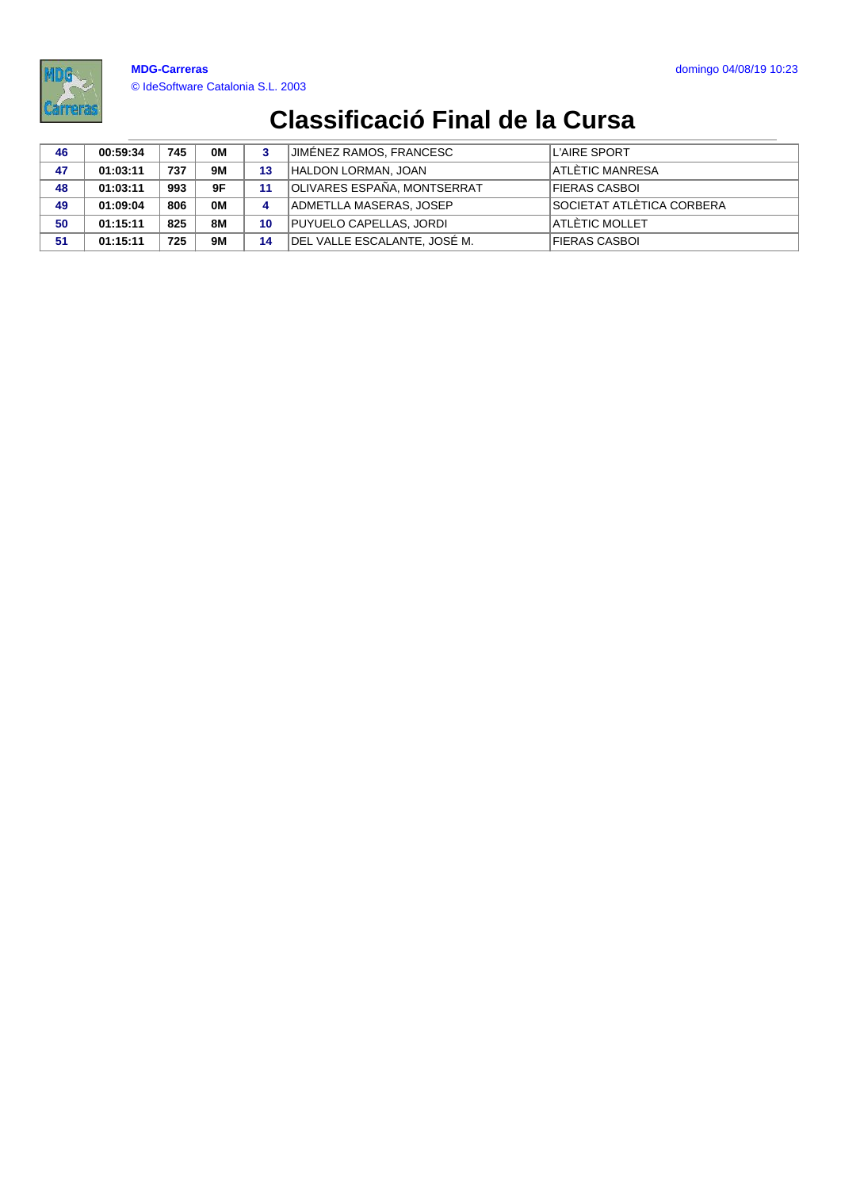

| 46 | 00:59:34 | 745 | 0M | 3  | JIMÉNEZ RAMOS, FRANCESC      | L'AIRE SPORT              |
|----|----------|-----|----|----|------------------------------|---------------------------|
| 47 | 01:03:11 | 737 | 9M | 13 | HALDON LORMAN, JOAN          | ATLÉTIC MANRESA           |
| 48 | 01:03:11 | 993 | 9F | 11 | OLIVARES ESPAÑA, MONTSERRAT  | FIERAS CASBOI             |
| 49 | 01:09:04 | 806 | 0M | 4  | ADMETLLA MASERAS, JOSEP      | SOCIETAT ATLÈTICA CORBERA |
| 50 | 01:15:11 | 825 | 8M | 10 | PUYUELO CAPELLAS, JORDI      | <b>ATLÈTIC MOLLET</b>     |
| 51 | 01:15:11 | 725 | 9M | 14 | DEL VALLE ESCALANTE, JOSE M. | FIERAS CASBOI             |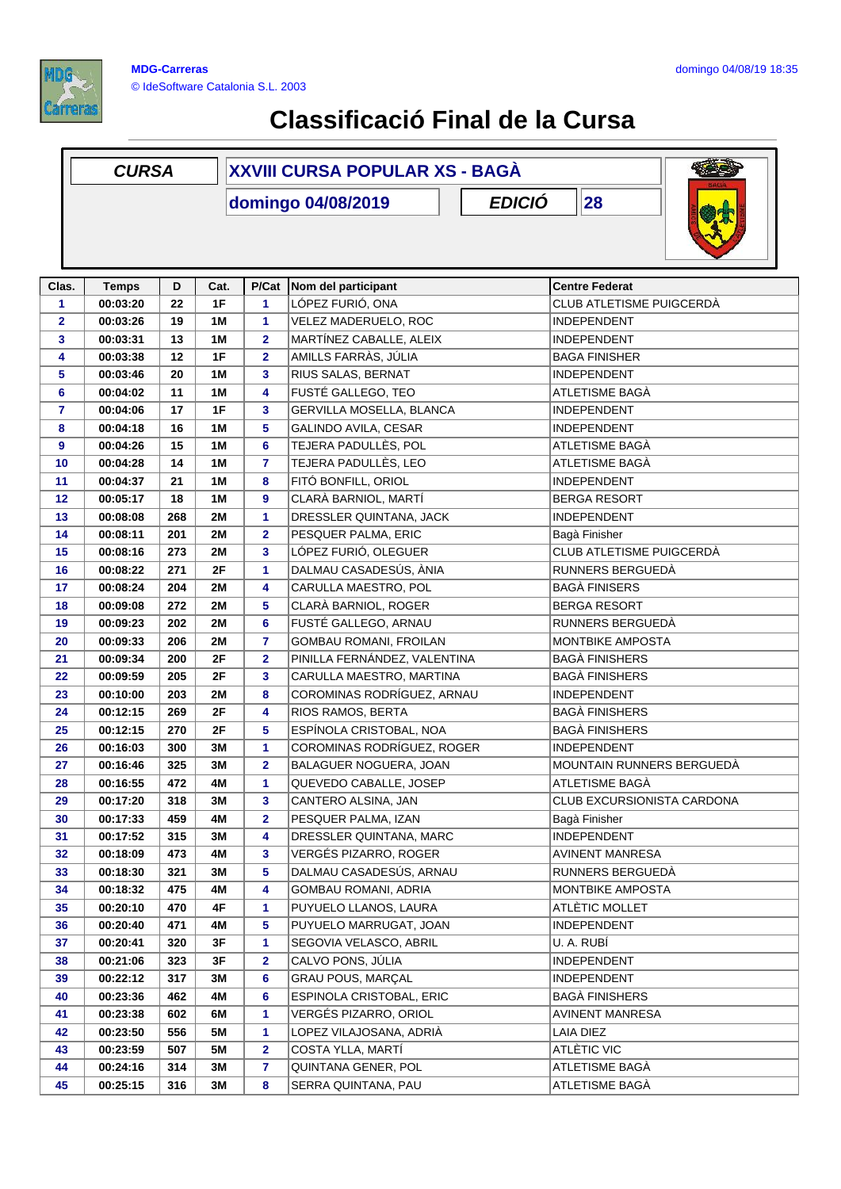

|              | <b>CURSA</b>         |            |           | XXVIII CURSA POPULAR XS - BAGÁ |                                                  |                                              |
|--------------|----------------------|------------|-----------|--------------------------------|--------------------------------------------------|----------------------------------------------|
|              |                      |            |           |                                | <b>EDICIÓ</b><br>domingo 04/08/2019              | 28                                           |
| Clas.        | <b>Temps</b>         | D          | Cat.      | P/Cat                          | Nom del participant                              | <b>Centre Federat</b>                        |
| 1            | 00:03:20             | 22         | 1F        | 1                              | LÓPEZ FURIÓ, ONA                                 | CLUB ATLETISME PUIGCERDÀ                     |
| $\mathbf{2}$ | 00:03:26             | 19         | 1M        | 1                              | VELEZ MADERUELO, ROC                             | INDEPENDENT                                  |
| 3            | 00:03:31             | 13         | 1M        | $\mathbf{2}$                   | MARTÍNEZ CABALLE, ALEIX                          | INDEPENDENT                                  |
| 4            | 00:03:38             | 12         | 1F        | $\overline{\mathbf{2}}$        | AMILLS FARRÀS, JÚLIA                             | <b>BAGA FINISHER</b>                         |
| 5            | 00:03:46             | 20         | 1M        | 3                              | RIUS SALAS, BERNAT                               | INDEPENDENT                                  |
| 6            | 00:04:02             | 11         | 1M        | 4                              | FUSTÉ GALLEGO, TEO                               | ATLETISME BAGÀ                               |
| 7            | 00:04:06             | 17         | 1F        | 3                              | GERVILLA MOSELLA, BLANCA                         | <b>INDEPENDENT</b>                           |
| 8            | 00:04:18             | 16         | 1M        | 5                              | GALINDO AVILA, CESAR                             | <b>INDEPENDENT</b>                           |
| 9            | 00:04:26             | 15         | 1M        | 6                              | TEJERA PADULLÈS, POL                             | ATLETISME BAGÀ                               |
| 10           | 00:04:28             | 14         | 1M        | $\overline{7}$                 | TEJERA PADULLÈS, LEO                             | ATLETISME BAGÀ                               |
| 11           | 00:04:37             | 21         | 1M        | 8                              | FITÓ BONFILL, ORIOL                              | <b>INDEPENDENT</b>                           |
| 12           | 00:05:17             | 18         | 1M        | 9                              | CLARÀ BARNIOL, MARTÍ                             | <b>BERGA RESORT</b>                          |
| 13           | 00:08:08             | 268        | <b>2M</b> | 1                              | DRESSLER QUINTANA, JACK                          | <b>INDEPENDENT</b>                           |
| 14           | 00:08:11             | 201        | 2M        | $\overline{\mathbf{2}}$        | PESQUER PALMA, ERIC                              | Bagà Finisher                                |
| 15           | 00:08:16             | 273        | <b>2M</b> | 3                              | LÓPEZ FURIÓ, OLEGUER                             | CLUB ATLETISME PUIGCERDÀ                     |
| 16           | 00:08:22             | 271        | 2F        | 1                              | DALMAU CASADESÚS, ÀNIA                           | RUNNERS BERGUEDÀ                             |
| 17           | 00:08:24             | 204        | 2M        | 4                              | CARULLA MAESTRO, POL                             | <b>BAGÀ FINISERS</b>                         |
| 18           | 00:09:08             | 272        | 2M        | 5                              | CLARÀ BARNIOL, ROGER                             | <b>BERGA RESORT</b>                          |
| 19           | 00:09:23             | 202        | 2M        | 6                              | FUSTÉ GALLEGO, ARNAU                             | RUNNERS BERGUEDÀ                             |
| 20           | 00:09:33             | 206        | <b>2M</b> | $\overline{7}$                 | GOMBAU ROMANI, FROILAN                           | MONTBIKE AMPOSTA                             |
| 21           | 00:09:34             | 200        | 2F        | $\overline{\mathbf{2}}$        | PINILLA FERNÁNDEZ, VALENTINA                     | <b>BAGÀ FINISHERS</b>                        |
| 22           | 00:09:59             | 205        | 2F        | 3                              | CARULLA MAESTRO, MARTINA                         | <b>BAGÀ FINISHERS</b>                        |
| 23           | 00:10:00             | 203        | 2M        | 8                              | COROMINAS RODRÍGUEZ, ARNAU                       | <b>INDEPENDENT</b>                           |
| 24           | 00:12:15             | 269        | 2F        | 4                              | RIOS RAMOS, BERTA                                | <b>BAGÀ FINISHERS</b>                        |
| 25           |                      | 270        | 2F        | 5                              | ESPÍNOLA CRISTOBAL, NOA                          | <b>BAGÀ FINISHERS</b>                        |
|              | 00:12:15             | 300        | 3M        |                                | COROMINAS RODRÍGUEZ, ROGER                       | <b>INDEPENDENT</b>                           |
| 26           | 00:16:03             |            |           | 1                              |                                                  |                                              |
| 27           | 00:16:46             | 325        | 3M        | 2                              | BALAGUER NOGUERA, JOAN<br>QUEVEDO CABALLE, JOSEP | MOUNTAIN RUNNERS BERGUEDÀ                    |
| 28           | 00:16:55             | 472        | 4M        | 1                              | CANTERO ALSINA, JAN                              | ATLETISME BAGÀ<br>CLUB EXCURSIONISTA CARDONA |
| 29           | 00:17:20             | 318        | 3M        | 3                              |                                                  |                                              |
| 30           | 00:17:33             | 459<br>315 | 4M        | 2                              | PESQUER PALMA, IZAN<br>DRESSLER QUINTANA, MARC   | Bagà Finisher<br><b>INDEPENDENT</b>          |
| 31<br>32     | 00:17:52<br>00:18:09 | 473        | 3M        | 4<br>3                         | VERGÉS PIZARRO, ROGER                            | <b>AVINENT MANRESA</b>                       |
| 33           | 00:18:30             | 321        | 4M<br>3M  | 5                              | DALMAU CASADESÚS, ARNAU                          | RUNNERS BERGUEDÀ                             |
| 34           | 00:18:32             | 475        | 4M        | 4                              | <b>GOMBAU ROMANI, ADRIA</b>                      | MONTBIKE AMPOSTA                             |
| 35           | 00:20:10             | 470        | 4F        | 1                              | PUYUELO LLANOS, LAURA                            | ATLÈTIC MOLLET                               |
|              | 00:20:40             | 471        |           | 5                              | PUYUELO MARRUGAT, JOAN                           | INDEPENDENT                                  |
| 36<br>37     | 00:20:41             | 320        | 4M<br>3F  | 1                              | SEGOVIA VELASCO, ABRIL                           | U. A. RUBİ                                   |
| 38           | 00:21:06             | 323        | 3F        | $\overline{\mathbf{2}}$        | CALVO PONS, JÚLIA                                | <b>INDEPENDENT</b>                           |
|              | 00:22:12             |            | ЗM        | 6                              | <b>GRAU POUS, MARÇAL</b>                         | <b>INDEPENDENT</b>                           |
| 39           |                      | 317        |           |                                |                                                  | <b>BAGÀ FINISHERS</b>                        |
| 40           | 00:23:36             | 462        | 4M        | 6                              | ESPINOLA CRISTOBAL, ERIC                         |                                              |
| 41           | 00:23:38             | 602        | 6M        | 1                              | VERGÉS PIZARRO, ORIOL                            | AVINENT MANRESA                              |
| 42           | 00:23:50             | 556        | 5M        | 1                              | LOPEZ VILAJOSANA, ADRIÀ                          | LAIA DIEZ                                    |
| 43           | 00:23:59             | 507        | 5M        | $\mathbf 2$                    | COSTA YLLA, MARTÍ                                | ATLÈTIC VIC                                  |
| 44           | 00:24:16             | 314        | 3M        | 7                              | QUINTANA GENER, POL                              | ATLETISME BAGÀ                               |
| 45           | 00:25:15             | 316        | ЗM        | 8                              | SERRA QUINTANA, PAU                              | ATLETISME BAGÀ                               |